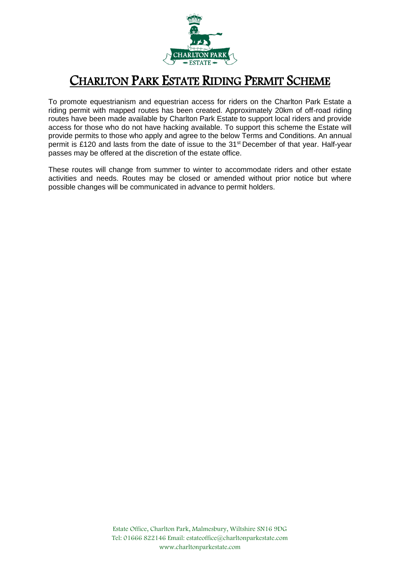

## CHARLTON PARK ESTATE RIDING PERMIT SCHEME

To promote equestrianism and equestrian access for riders on the Charlton Park Estate a riding permit with mapped routes has been created. Approximately 20km of off-road riding routes have been made available by Charlton Park Estate to support local riders and provide access for those who do not have hacking available. To support this scheme the Estate will provide permits to those who apply and agree to the below Terms and Conditions. An annual permit is £120 and lasts from the date of issue to the 31<sup>st</sup> December of that year. Half-year passes may be offered at the discretion of the estate office.

These routes will change from summer to winter to accommodate riders and other estate activities and needs. Routes may be closed or amended without prior notice but where possible changes will be communicated in advance to permit holders.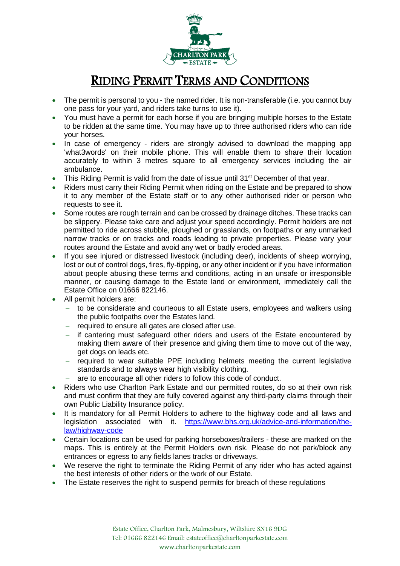

## RIDING PERMIT TERMS AND CONDITIONS

- The permit is personal to you the named rider. It is non-transferable (i.e. you cannot buy one pass for your yard, and riders take turns to use it).
- You must have a permit for each horse if you are bringing multiple horses to the Estate to be ridden at the same time. You may have up to three authorised riders who can ride your horses.
- In case of emergency riders are strongly advised to download the mapping app 'what3words' on their mobile phone. This will enable them to share their location accurately to within 3 metres square to all emergency services including the air ambulance.
- This Riding Permit is valid from the date of issue until 31<sup>st</sup> December of that year.
- Riders must carry their Riding Permit when riding on the Estate and be prepared to show it to any member of the Estate staff or to any other authorised rider or person who requests to see it.
- Some routes are rough terrain and can be crossed by drainage ditches. These tracks can be slippery. Please take care and adjust your speed accordingly. Permit holders are not permitted to ride across stubble, ploughed or grasslands, on footpaths or any unmarked narrow tracks or on tracks and roads leading to private properties. Please vary your routes around the Estate and avoid any wet or badly eroded areas.
- If you see injured or distressed livestock (including deer), incidents of sheep worrying, lost or out of control dogs, fires, fly-tipping, or any other incident or if you have information about people abusing these terms and conditions, acting in an unsafe or irresponsible manner, or causing damage to the Estate land or environment, immediately call the Estate Office on 01666 822146.
- All permit holders are:
	- − to be considerate and courteous to all Estate users, employees and walkers using the public footpaths over the Estates land.
	- − required to ensure all gates are closed after use.
	- − if cantering must safeguard other riders and users of the Estate encountered by making them aware of their presence and giving them time to move out of the way, get dogs on leads etc.
	- − required to wear suitable PPE including helmets meeting the current legislative standards and to always wear high visibility clothing.
	- − are to encourage all other riders to follow this code of conduct.
- Riders who use Charlton Park Estate and our permitted routes, do so at their own risk and must confirm that they are fully covered against any third-party claims through their own Public Liability Insurance policy.
- It is mandatory for all Permit Holders to adhere to the highway code and all laws and legislation associated with it. [https://www.bhs.org.uk/advice-and-information/the](https://www.bhs.org.uk/advice-and-information/the-law/highway-code)[law/highway-code](https://www.bhs.org.uk/advice-and-information/the-law/highway-code)
- Certain locations can be used for parking horseboxes/trailers these are marked on the maps. This is entirely at the Permit Holders own risk. Please do not park/block any entrances or egress to any fields lanes tracks or driveways.
- We reserve the right to terminate the Riding Permit of any rider who has acted against the best interests of other riders or the work of our Estate.
- The Estate reserves the right to suspend permits for breach of these regulations